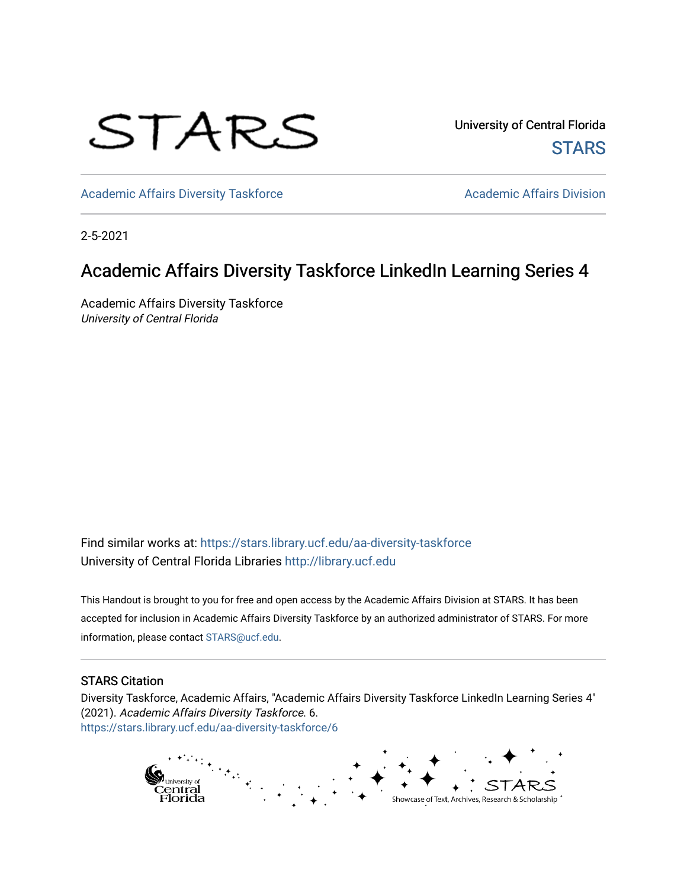## STARS

University of Central Florida **STARS** 

[Academic Affairs Diversity Taskforce](https://stars.library.ucf.edu/aa-diversity-taskforce) Academic Affairs Division

2-5-2021

### Academic Affairs Diversity Taskforce LinkedIn Learning Series 4

Academic Affairs Diversity Taskforce University of Central Florida

Find similar works at: <https://stars.library.ucf.edu/aa-diversity-taskforce> University of Central Florida Libraries [http://library.ucf.edu](http://library.ucf.edu/) 

This Handout is brought to you for free and open access by the Academic Affairs Division at STARS. It has been accepted for inclusion in Academic Affairs Diversity Taskforce by an authorized administrator of STARS. For more information, please contact [STARS@ucf.edu.](mailto:STARS@ucf.edu)

#### STARS Citation

Diversity Taskforce, Academic Affairs, "Academic Affairs Diversity Taskforce LinkedIn Learning Series 4" (2021). Academic Affairs Diversity Taskforce. 6. [https://stars.library.ucf.edu/aa-diversity-taskforce/6](https://stars.library.ucf.edu/aa-diversity-taskforce/6?utm_source=stars.library.ucf.edu%2Faa-diversity-taskforce%2F6&utm_medium=PDF&utm_campaign=PDFCoverPages)